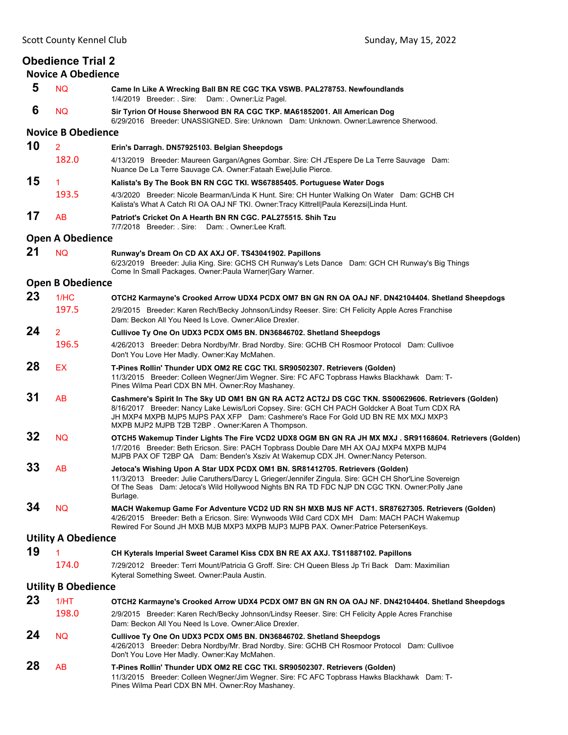| <b>Obedience Trial 2</b><br><b>Novice A Obedience</b> |                            |                                                                                                                                                                                                                                                                                                                                                 |  |  |
|-------------------------------------------------------|----------------------------|-------------------------------------------------------------------------------------------------------------------------------------------------------------------------------------------------------------------------------------------------------------------------------------------------------------------------------------------------|--|--|
| 5                                                     | <b>NQ</b>                  | Came In Like A Wrecking Ball BN RE CGC TKA VSWB. PAL278753. Newfoundlands<br>1/4/2019 Breeder: Sire: Dam: Owner: Liz Pagel.                                                                                                                                                                                                                     |  |  |
| 6                                                     | <b>NQ</b>                  | Sir Tyrion Of House Sherwood BN RA CGC TKP. MA61852001. All American Dog<br>6/29/2016 Breeder: UNASSIGNED, Sire: Unknown Dam: Unknown, Owner:Lawrence Sherwood,                                                                                                                                                                                 |  |  |
|                                                       | <b>Novice B Obedience</b>  |                                                                                                                                                                                                                                                                                                                                                 |  |  |
| 10                                                    | $\overline{2}$             | Erin's Darragh. DN57925103. Belgian Sheepdogs                                                                                                                                                                                                                                                                                                   |  |  |
|                                                       | 182.0                      | 4/13/2019 Breeder: Maureen Gargan/Agnes Gombar. Sire: CH J'Espere De La Terre Sauvage Dam:<br>Nuance De La Terre Sauvage CA. Owner: Fataah Ewe Julie Pierce.                                                                                                                                                                                    |  |  |
| 15                                                    | $\mathbf{1}$               | Kalista's By The Book BN RN CGC TKI. WS67885405. Portuguese Water Dogs                                                                                                                                                                                                                                                                          |  |  |
|                                                       | 193.5                      | 4/3/2020 Breeder: Nicole Bearman/Linda K Hunt. Sire: CH Hunter Walking On Water Dam: GCHB CH<br>Kalista's What A Catch RI OA OAJ NF TKI. Owner: Tracy Kittrell Paula Kerezsi Linda Hunt.                                                                                                                                                        |  |  |
| 17                                                    | AB                         | Patriot's Cricket On A Hearth BN RN CGC. PAL275515. Shih Tzu<br>7/7/2018 Breeder: Sire: Dam: Owner:Lee Kraft.                                                                                                                                                                                                                                   |  |  |
| <b>Open A Obedience</b>                               |                            |                                                                                                                                                                                                                                                                                                                                                 |  |  |
| 21                                                    | <b>NQ</b>                  | Runway's Dream On CD AX AXJ OF. TS43041902. Papillons<br>6/23/2019 Breeder: Julia King. Sire: GCHS CH Runway's Lets Dance Dam: GCH CH Runway's Big Things<br>Come In Small Packages. Owner: Paula Warner Gary Warner.                                                                                                                           |  |  |
| <b>Open B Obedience</b>                               |                            |                                                                                                                                                                                                                                                                                                                                                 |  |  |
| 23                                                    | 1/HC                       | OTCH2 Karmayne's Crooked Arrow UDX4 PCDX OM7 BN GN RN OA OAJ NF. DN42104404. Shetland Sheepdogs                                                                                                                                                                                                                                                 |  |  |
|                                                       | 197.5                      | 2/9/2015 Breeder: Karen Rech/Becky Johnson/Lindsy Reeser. Sire: CH Felicity Apple Acres Franchise<br>Dam: Beckon All You Need Is Love. Owner: Alice Drexler.                                                                                                                                                                                    |  |  |
| 24                                                    | $\overline{2}$             | Cullivoe Ty One On UDX3 PCDX OM5 BN. DN36846702. Shetland Sheepdogs                                                                                                                                                                                                                                                                             |  |  |
|                                                       | 196.5                      | 4/26/2013 Breeder: Debra Nordby/Mr. Brad Nordby. Sire: GCHB CH Rosmoor Protocol Dam: Cullivoe<br>Don't You Love Her Madly. Owner: Kay McMahen.                                                                                                                                                                                                  |  |  |
| 28                                                    | <b>EX</b>                  | T-Pines Rollin' Thunder UDX OM2 RE CGC TKI. SR90502307. Retrievers (Golden)<br>11/3/2015 Breeder: Colleen Wegner/Jim Wegner. Sire: FC AFC Topbrass Hawks Blackhawk Dam: T-<br>Pines Wilma Pearl CDX BN MH. Owner: Roy Mashaney.                                                                                                                 |  |  |
| 31                                                    | AB                         | Cashmere's Spirit In The Sky UD OM1 BN GN RA ACT2 ACT2J DS CGC TKN. SS00629606. Retrievers (Golden)<br>8/16/2017 Breeder: Nancy Lake Lewis/Lori Copsey. Sire: GCH CH PACH Goldcker A Boat Turn CDX RA<br>JH MXP4 MXPB MJP5 MJPS PAX XFP Dam: Cashmere's Race For Gold UD BN RE MX MXJ MXP3<br>MXPB MJP2 MJPB T2B T2BP. Owner: Karen A Thompson. |  |  |
| 32                                                    | <b>NQ</b>                  | OTCH5 Wakemup Tinder Lights The Fire VCD2 UDX8 OGM BN GN RA JH MX MXJ . SR91168604. Retrievers (Golden)<br>1/7/2016 Breeder: Beth Ericson. Sire: PACH Topbrass Double Dare MH AX OAJ MXP4 MXPB MJP4<br>MJPB PAX OF T2BP QA Dam: Benden's Xsziv At Wakemup CDX JH. Owner:Nancy Peterson.                                                         |  |  |
| 33                                                    | AB                         | Jetoca's Wishing Upon A Star UDX PCDX OM1 BN. SR81412705. Retrievers (Golden)<br>11/3/2013 Breeder: Julie Caruthers/Darcy L Grieger/Jennifer Zingula. Sire: GCH CH Shor'Line Sovereign<br>Of The Seas Dam: Jetoca's Wild Hollywood Nights BN RA TD FDC NJP DN CGC TKN. Owner: Polly Jane<br>Burlage.                                            |  |  |
| 34                                                    | <b>NQ</b>                  | MACH Wakemup Game For Adventure VCD2 UD RN SH MXB MJS NF ACT1. SR87627305. Retrievers (Golden)<br>4/26/2015 Breeder: Beth a Ericson. Sire: Wynwoods Wild Card CDX MH Dam: MACH PACH Wakemup<br>Rewired For Sound JH MXB MJB MXP3 MXPB MJP3 MJPB PAX. Owner:Patrice PetersenKeys.                                                                |  |  |
|                                                       | <b>Utility A Obedience</b> |                                                                                                                                                                                                                                                                                                                                                 |  |  |
| 19                                                    | 1                          | CH Kyterals Imperial Sweet Caramel Kiss CDX BN RE AX AXJ. TS11887102. Papillons                                                                                                                                                                                                                                                                 |  |  |
|                                                       | 174.0                      | 7/29/2012 Breeder: Terri Mount/Patricia G Groff. Sire: CH Queen Bless Jp Tri Back Dam: Maximilian<br>Kyteral Something Sweet. Owner: Paula Austin.                                                                                                                                                                                              |  |  |
| <b>Utility B Obedience</b>                            |                            |                                                                                                                                                                                                                                                                                                                                                 |  |  |
| 23                                                    | 1/HT                       | OTCH2 Karmayne's Crooked Arrow UDX4 PCDX OM7 BN GN RN OA OAJ NF. DN42104404. Shetland Sheepdogs                                                                                                                                                                                                                                                 |  |  |
|                                                       | 198.0                      | 2/9/2015 Breeder: Karen Rech/Becky Johnson/Lindsy Reeser. Sire: CH Felicity Apple Acres Franchise<br>Dam: Beckon All You Need Is Love, Owner Alice Drexler,                                                                                                                                                                                     |  |  |
| 24                                                    | <b>NQ</b>                  | Cullivoe Ty One On UDX3 PCDX OM5 BN. DN36846702. Shetland Sheepdogs<br>4/26/2013 Breeder: Debra Nordby/Mr. Brad Nordby. Sire: GCHB CH Rosmoor Protocol Dam: Cullivoe<br>Don't You Love Her Madly. Owner: Kay McMahen.                                                                                                                           |  |  |
| 28                                                    | AB                         | T-Pines Rollin' Thunder UDX OM2 RE CGC TKI. SR90502307. Retrievers (Golden)<br>11/3/2015 Breeder: Colleen Wegner/Jim Wegner. Sire: FC AFC Topbrass Hawks Blackhawk Dam: T-<br>Pines Wilma Pearl CDX BN MH. Owner: Roy Mashaney.                                                                                                                 |  |  |